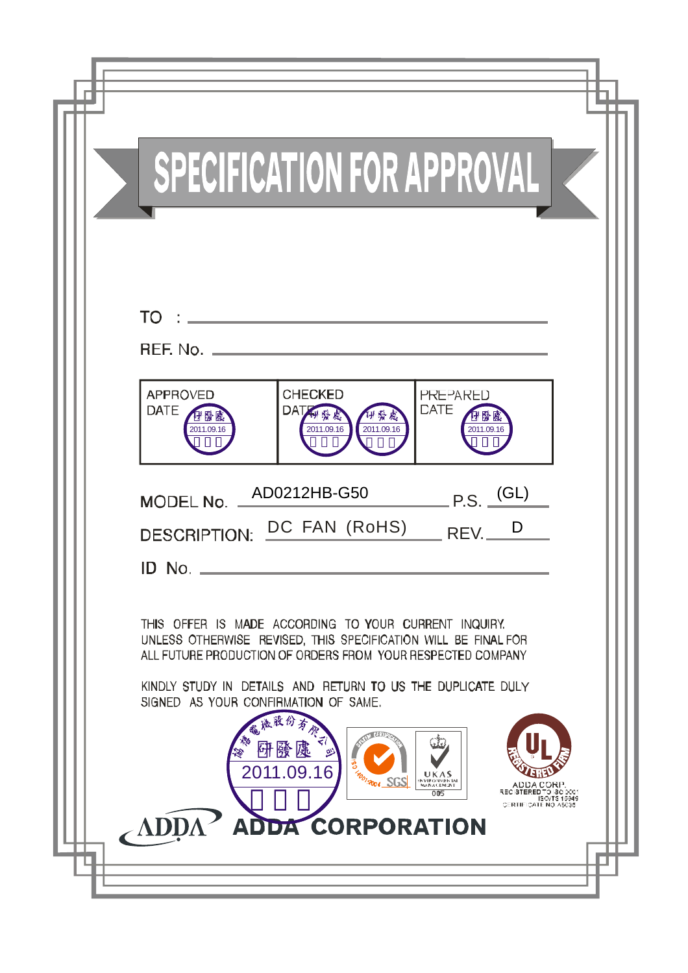| SPECIFICATION FOR APPROVAL                                                                                                                                                                                                                                                                                                                                                                                                                                                           |
|--------------------------------------------------------------------------------------------------------------------------------------------------------------------------------------------------------------------------------------------------------------------------------------------------------------------------------------------------------------------------------------------------------------------------------------------------------------------------------------|
| $TO:$ $\frac{1}{10}$ $\frac{1}{10}$ $\frac{1}{10}$ $\frac{1}{10}$ $\frac{1}{10}$ $\frac{1}{10}$ $\frac{1}{10}$ $\frac{1}{10}$ $\frac{1}{10}$ $\frac{1}{10}$ $\frac{1}{10}$ $\frac{1}{10}$ $\frac{1}{10}$ $\frac{1}{10}$ $\frac{1}{10}$ $\frac{1}{10}$ $\frac{1}{10}$ $\frac{1}{10}$ $\frac{1}{10}$ $\frac{1}{1$<br>BEF. No.<br><b>APPROVED</b><br><b>CHECKED</b><br><b>PRE-ARED</b><br><b>CATE</b><br>DATE<br>DAT科發處<br>2011.09.16<br>2011.09.16<br>2011.09.16<br>2011.09.16         |
| AD0212HB-G50<br>$P.S.$ $\frac{(GL)}{2}$<br>MODEL No.<br>DESCRIPTION: DC FAN (RoHS) REV.<br>D<br>ID No                                                                                                                                                                                                                                                                                                                                                                                |
| THIS OFFER IS MADE ACCORDING TO YOUR CURRENT INQUIRY.<br>UNLESS OTHERWISE REVISED, THIS SPECIFICATION WILL BE FINAL FOR<br>ALL FUTURE PRODUCTION OF ORDERS FROM YOUR RESPECTED COMPANY<br>KINDLY STUDY IN DETAILS AND RETURN TO US THE DUPLICATE DULY<br>SIGNED AS YOUR CONFIRMATION OF SAME.<br>儀股份<br><b>OF LITE</b><br>淴<br>研發處<br>2011.09.16<br>UKAS<br><b>POTROOL SGS</b><br>NYIRONVENTAL<br>ADDA CORP.<br>RECISTERED TO ISO DO:<br>005<br>ISO/TS 15949<br>CERTIFICATE NO A5035 |
| ADDA CORPORATION<br>ADI                                                                                                                                                                                                                                                                                                                                                                                                                                                              |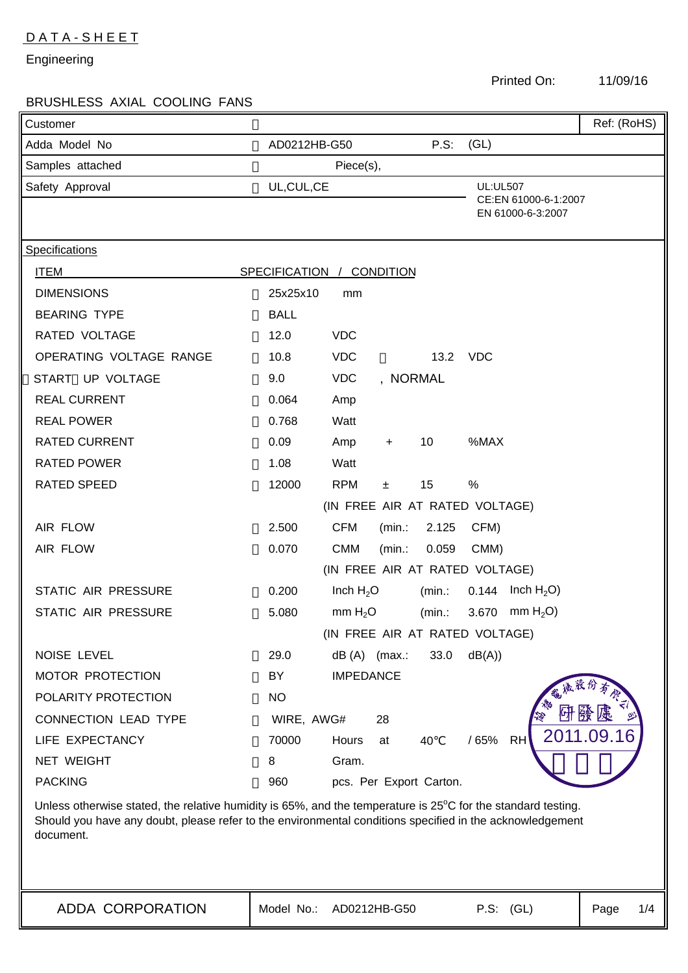# D A T A - S H E E T

Engineering

ADDA CORPORATION

11/09/16

| <b>BRUSHLESS AXIAL COOLING FANS</b> |                                                                                                                                                                                                                                    |             |  |
|-------------------------------------|------------------------------------------------------------------------------------------------------------------------------------------------------------------------------------------------------------------------------------|-------------|--|
| Customer                            |                                                                                                                                                                                                                                    | Ref: (RoHS) |  |
| Adda Model No                       | P.S:<br>(GL)<br>AD0212HB-G50                                                                                                                                                                                                       |             |  |
| Samples attached<br>Piece(s),       |                                                                                                                                                                                                                                    |             |  |
| Safety Approval                     | UL, CUL, CE<br><b>UL:UL507</b>                                                                                                                                                                                                     |             |  |
|                                     | CE:EN 61000-6-1:2007<br>EN 61000-6-3:2007                                                                                                                                                                                          |             |  |
|                                     |                                                                                                                                                                                                                                    |             |  |
| Specifications                      |                                                                                                                                                                                                                                    |             |  |
| <b>ITEM</b>                         | SPECIFICATION / CONDITION                                                                                                                                                                                                          |             |  |
| <b>DIMENSIONS</b>                   | 25x25x10<br>mm                                                                                                                                                                                                                     |             |  |
| <b>BEARING TYPE</b>                 | <b>BALL</b>                                                                                                                                                                                                                        |             |  |
| <b>RATED VOLTAGE</b>                | 12.0<br><b>VDC</b>                                                                                                                                                                                                                 |             |  |
| OPERATING VOLTAGE RANGE             | 10.8<br><b>VDC</b><br>13.2 VDC                                                                                                                                                                                                     |             |  |
| START UP VOLTAGE                    | 9.0<br><b>VDC</b><br>, NORMAL                                                                                                                                                                                                      |             |  |
| <b>REAL CURRENT</b>                 | 0.064<br>Amp                                                                                                                                                                                                                       |             |  |
| <b>REAL POWER</b>                   | 0.768<br>Watt                                                                                                                                                                                                                      |             |  |
| <b>RATED CURRENT</b>                | 0.09<br>%MAX<br>Amp<br>10<br>$\ddot{}$                                                                                                                                                                                             |             |  |
| <b>RATED POWER</b>                  | 1.08<br>Watt                                                                                                                                                                                                                       |             |  |
| RATED SPEED                         | 12000<br><b>RPM</b><br>15<br>%<br>±.                                                                                                                                                                                               |             |  |
| (IN FREE AIR AT RATED VOLTAGE)      |                                                                                                                                                                                                                                    |             |  |
| AIR FLOW                            | <b>CFM</b><br>2.500<br>(min.<br>2.125<br>CFM)                                                                                                                                                                                      |             |  |
| AIR FLOW                            | 0.070<br><b>CMM</b><br>(min.<br>0.059<br>CMM)                                                                                                                                                                                      |             |  |
|                                     | (IN FREE AIR AT RATED VOLTAGE)                                                                                                                                                                                                     |             |  |
| STATIC AIR PRESSURE                 | Inch $H_2O$<br>$0.144$ Inch H <sub>2</sub> O)<br>0.200<br>(min.:                                                                                                                                                                   |             |  |
| STATIC AIR PRESSURE                 | mm $H2O$ )<br>5.080<br>mm $H_2O$<br>3.670<br>(min.:                                                                                                                                                                                |             |  |
|                                     | (IN FREE AIR AT RATED VOLTAGE)                                                                                                                                                                                                     |             |  |
| NOISE LEVEL                         | dB(A))<br>29.0<br>$dB(A)$ (max.:<br>33.0                                                                                                                                                                                           |             |  |
| MOTOR PROTECTION                    | BY<br><b>IMPEDANCE</b>                                                                                                                                                                                                             |             |  |
| POLARITY PROTECTION                 | NO.                                                                                                                                                                                                                                |             |  |
| CONNECTION LEAD TYPE                | WIRE, AWG#<br>28                                                                                                                                                                                                                   |             |  |
| LIFE EXPECTANCY                     | 70000<br>/ 65%<br>RH<br>Hours<br>40<br>at                                                                                                                                                                                          | 2011.09.16  |  |
| NET WEIGHT                          | 8<br>Gram.                                                                                                                                                                                                                         |             |  |
| <b>PACKING</b>                      | 960<br>pcs. Per Export Carton.                                                                                                                                                                                                     |             |  |
| document.                           | Unless otherwise stated, the relative humidity is 65%, and the temperature is $25^{\circ}$ C for the standard testing.<br>Should you have any doubt, please refer to the environmental conditions specified in the acknowledgement |             |  |
|                                     |                                                                                                                                                                                                                                    |             |  |

Model No.: AD0212HB-G50 P.S: (GL) Page 1/4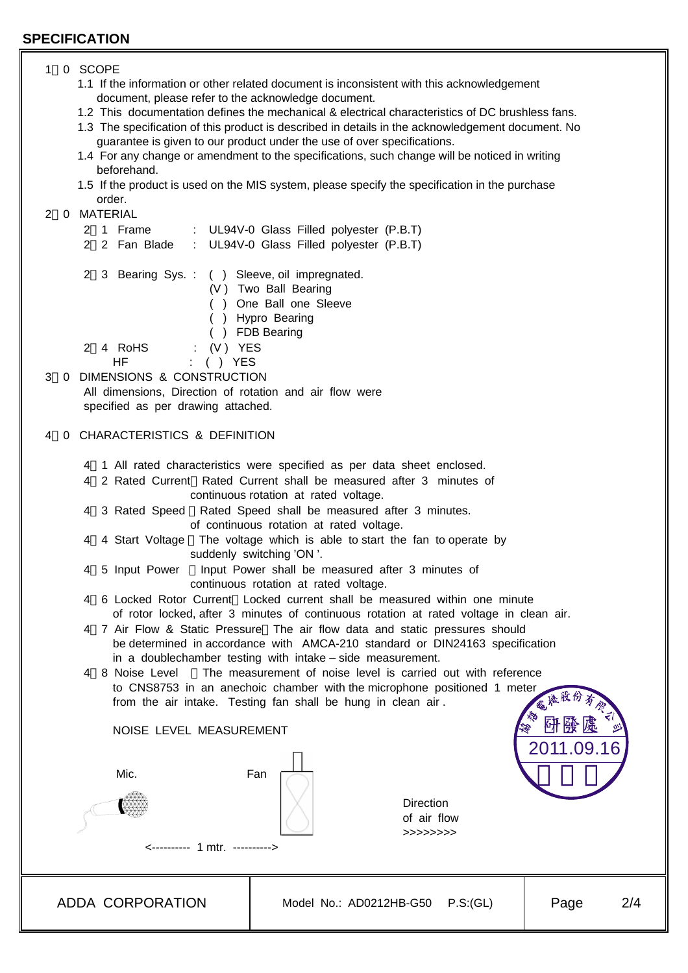## **SPECIFICATION**

# ADDA CORPORATION Model No.: AD0212HB-G50 P.S:(GL) Page 2/4 1 0 SCOPE 1.1 If the information or other related document is inconsistent with this acknowledgement document, please refer to the acknowledge document. 1.2 This documentation defines the mechanical & electrical characteristics of DC brushless fans. 1.3 The specification of this product is described in details in the acknowledgement document. No guarantee is given to our product under the use of over specifications. 1.4 For any change or amendment to the specifications, such change will be noticed in writing beforehand. 1.5 If the product is used on the MIS system, please specify the specification in the purchase order. 2 0 MATERIAL 2 1 Frame : UL94V-0 Glass Filled polyester (P.B.T) 2 2 Fan Blade : UL94V-0 Glass Filled polyester (P.B.T) 2 3 Bearing Sys. : ( ) Sleeve, oil impregnated. (V ) Two Ball Bearing ( ) One Ball one Sleeve ( ) Hypro Bearing ( ) FDB Bearing 2 4 RoHS : (V ) YES HF : ( ) YES 3 0 DIMENSIONS & CONSTRUCTION All dimensions, Direction of rotation and air flow were specified as per drawing attached. 4 0 CHARACTERISTICS & DEFINITION 4 1 All rated characteristics were specified as per data sheet enclosed. 4 2 Rated Current Rated Current shall be measured after 3 minutes of continuous rotation at rated voltage. 4 3 Rated Speed Rated Speed shall be measured after 3 minutes. of continuous rotation at rated voltage. 4 4 Start Voltage The voltage which is able to start the fan to operate by suddenly switching 'ON '. 4 5 Input Power Input Power shall be measured after 3 minutes of continuous rotation at rated voltage. 4 6 Locked Rotor Current Locked current shall be measured within one minute of rotor locked, after 3 minutes of continuous rotation at rated voltage in clean air. 4 7 Air Flow & Static Pressure The air flow data and static pressures should be determined in accordance with AMCA-210 standard or DIN24163 specification in a doublechamber testing with intake – side measurement. 4 8 Noise Level The measurement of noise level is carried out with reference to CNS8753 in an anechoic chamber with the microphone positioned 1 meter from the air intake. Testing fan shall be hung in clean air . NOISE LEVEL MEASUREMENT **Mic.** Fan  $\begin{array}{ccc}\n\mathbb{R} & \mathbb{R} \\
\hline\n\mathbb{R} & \mathbb{R} \\
\hline\n\mathbb{R}\n\end{array}$   $\begin{array}{ccc}\n\mathbb{R} & \mathbb{R} \\
\hline\n\mathbb{R} & \mathbb{R} \\
\hline\n\mathbb{R}\n\end{array}$  Direction of air flow >>>>>>>> <---------- 1 mtr. ----------> 2011  $\mathcal{L}$ 研發處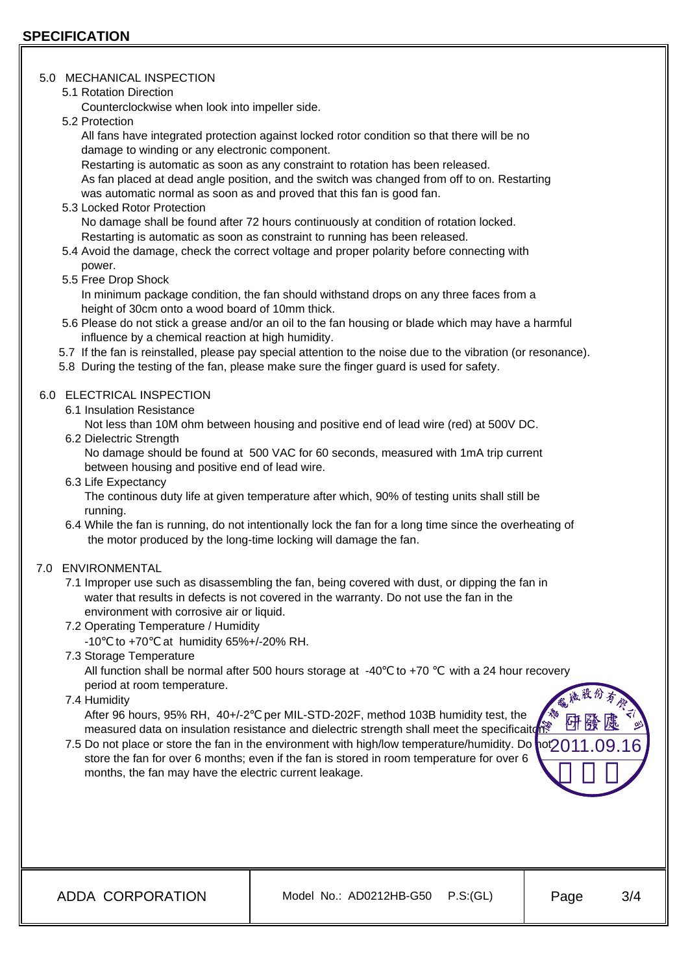#### 5.0 MECHANICAL INSPECTION

5.1 Rotation Direction

Counterclockwise when look into impeller side.

5.2 Protection

 All fans have integrated protection against locked rotor condition so that there will be no damage to winding or any electronic component.

 Restarting is automatic as soon as any constraint to rotation has been released. As fan placed at dead angle position, and the switch was changed from off to on. Restarting was automatic normal as soon as and proved that this fan is good fan.

5.3 Locked Rotor Protection

 No damage shall be found after 72 hours continuously at condition of rotation locked. Restarting is automatic as soon as constraint to running has been released.

- 5.4 Avoid the damage, check the correct voltage and proper polarity before connecting with power.
- 5.5 Free Drop Shock

 In minimum package condition, the fan should withstand drops on any three faces from a height of 30cm onto a wood board of 10mm thick.

- 5.6 Please do not stick a grease and/or an oil to the fan housing or blade which may have a harmful influence by a chemical reaction at high humidity.
- 5.7 If the fan is reinstalled, please pay special attention to the noise due to the vibration (or resonance).
- 5.8 During the testing of the fan, please make sure the finger guard is used for safety.

# 6.0 ELECTRICAL INSPECTION

6.1 Insulation Resistance

Not less than 10M ohm between housing and positive end of lead wire (red) at 500V DC.

6.2 Dielectric Strength

 No damage should be found at 500 VAC for 60 seconds, measured with 1mA trip current between housing and positive end of lead wire.

6.3 Life Expectancy

 The continous duty life at given temperature after which, 90% of testing units shall still be running.

- 6.4 While the fan is running, do not intentionally lock the fan for a long time since the overheating of the motor produced by the long-time locking will damage the fan.
- 7.0 ENVIRONMENTAL
	- 7.1 Improper use such as disassembling the fan, being covered with dust, or dipping the fan in water that results in defects is not covered in the warranty. Do not use the fan in the environment with corrosive air or liquid.
	- 7.2 Operating Temperature / Humidity
		- -10 to +70 at humidity 65%+/-20% RH.
	- 7.3 Storage Temperature

All function shall be normal after 500 hours storage at  $-40$  to  $+70$  with a 24 hour recovery period at room temperature.

7.4 Humidity

 After 96 hours, 95% RH, 40+/-2 per MIL-STD-202F, method 103B humidity test, the measured data on insulation resistance and dielectric strength shall meet the specificaitor.

7.5 Do not place or store the fan in the environment with high/low temperature/humidity. Do not 2011.09.16 store the fan for over 6 months; even if the fan is stored in room temperature for over 6 months, the fan may have the electric current leakage.

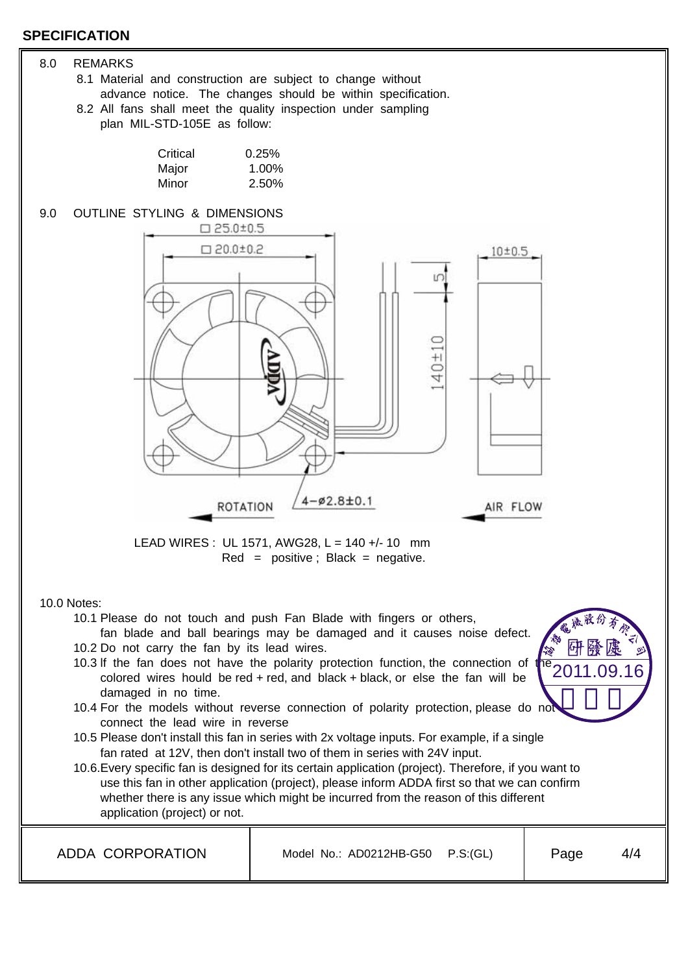## **SPECIFICATION**